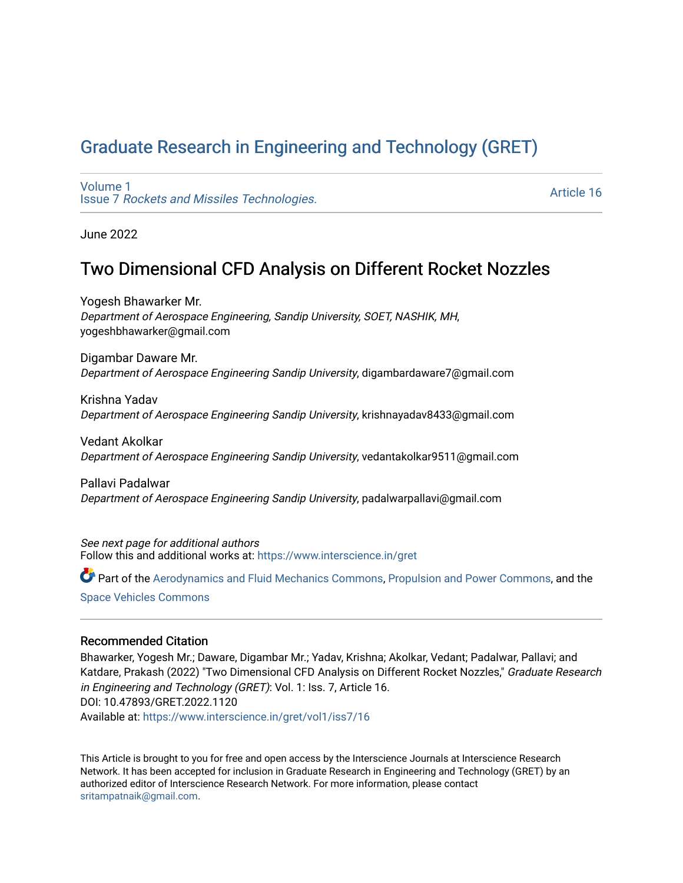# [Graduate Research in Engineering and Technology \(GRET\)](https://www.interscience.in/gret)

[Volume 1](https://www.interscience.in/gret/vol1) Issue 7 [Rockets and Missiles Technologies.](https://www.interscience.in/gret/vol1/iss7)

[Article 16](https://www.interscience.in/gret/vol1/iss7/16) 

June 2022

# Two Dimensional CFD Analysis on Different Rocket Nozzles

Yogesh Bhawarker Mr. Department of Aerospace Engineering, Sandip University, SOET, NASHIK, MH, yogeshbhawarker@gmail.com

Digambar Daware Mr. Department of Aerospace Engineering Sandip University, digambardaware7@gmail.com

Krishna Yadav Department of Aerospace Engineering Sandip University, krishnayadav8433@gmail.com

Vedant Akolkar Department of Aerospace Engineering Sandip University, vedantakolkar9511@gmail.com

Pallavi Padalwar Department of Aerospace Engineering Sandip University, padalwarpallavi@gmail.com

See next page for additional authors Follow this and additional works at: [https://www.interscience.in/gret](https://www.interscience.in/gret?utm_source=www.interscience.in%2Fgret%2Fvol1%2Fiss7%2F16&utm_medium=PDF&utm_campaign=PDFCoverPages)

Part of the [Aerodynamics and Fluid Mechanics Commons,](https://network.bepress.com/hgg/discipline/222?utm_source=www.interscience.in%2Fgret%2Fvol1%2Fiss7%2F16&utm_medium=PDF&utm_campaign=PDFCoverPages) [Propulsion and Power Commons](https://network.bepress.com/hgg/discipline/225?utm_source=www.interscience.in%2Fgret%2Fvol1%2Fiss7%2F16&utm_medium=PDF&utm_campaign=PDFCoverPages), and the [Space Vehicles Commons](https://network.bepress.com/hgg/discipline/220?utm_source=www.interscience.in%2Fgret%2Fvol1%2Fiss7%2F16&utm_medium=PDF&utm_campaign=PDFCoverPages) 

# Recommended Citation

Bhawarker, Yogesh Mr.; Daware, Digambar Mr.; Yadav, Krishna; Akolkar, Vedant; Padalwar, Pallavi; and Katdare, Prakash (2022) "Two Dimensional CFD Analysis on Different Rocket Nozzles," Graduate Research in Engineering and Technology (GRET): Vol. 1: Iss. 7, Article 16. DOI: 10.47893/GRET.2022.1120 Available at: [https://www.interscience.in/gret/vol1/iss7/16](https://www.interscience.in/gret/vol1/iss7/16?utm_source=www.interscience.in%2Fgret%2Fvol1%2Fiss7%2F16&utm_medium=PDF&utm_campaign=PDFCoverPages) 

This Article is brought to you for free and open access by the Interscience Journals at Interscience Research Network. It has been accepted for inclusion in Graduate Research in Engineering and Technology (GRET) by an authorized editor of Interscience Research Network. For more information, please contact [sritampatnaik@gmail.com](mailto:sritampatnaik@gmail.com).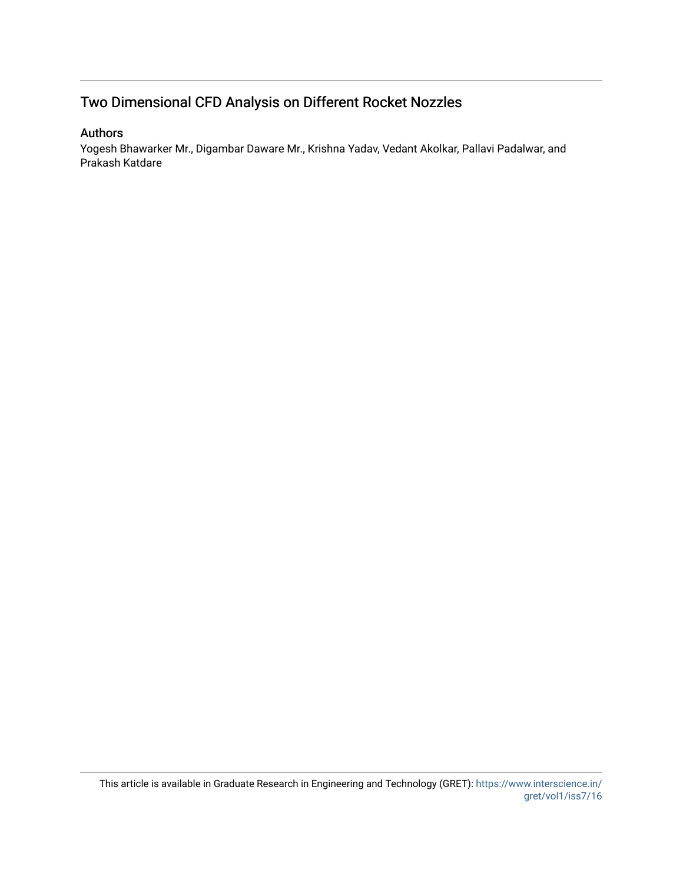# Two Dimensional CFD Analysis on Different Rocket Nozzles

# Authors

Yogesh Bhawarker Mr., Digambar Daware Mr., Krishna Yadav, Vedant Akolkar, Pallavi Padalwar, and Prakash Katdare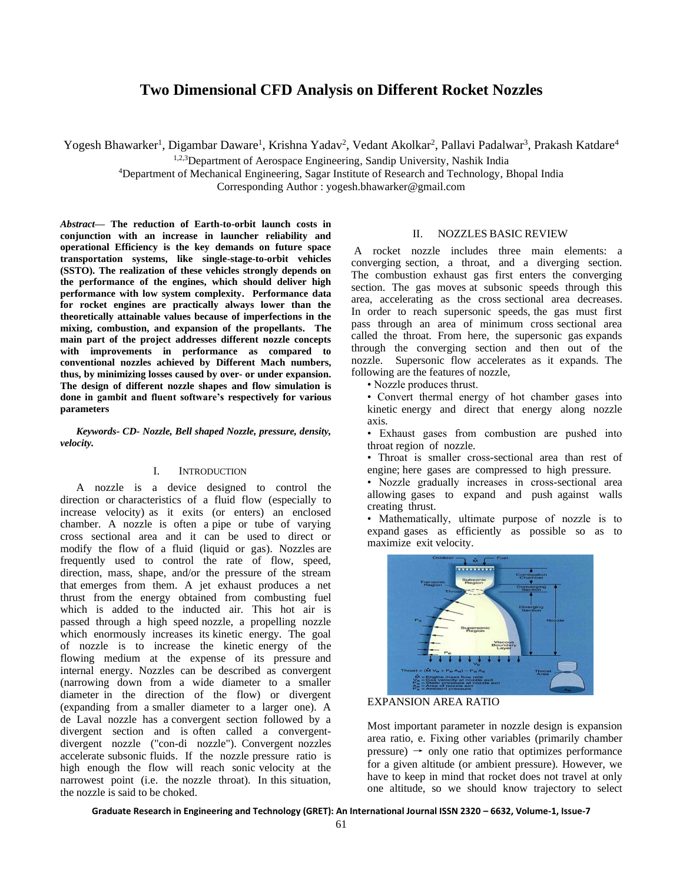# **Two Dimensional CFD Analysis on Different Rocket Nozzles**

Yogesh Bhawarker<sup>1</sup>, Digambar Daware<sup>1</sup>, Krishna Yadav<sup>2</sup>, Vedant Akolkar<sup>2</sup>, Pallavi Padalwar<sup>3</sup>, Prakash Katdare<sup>4</sup>

<sup>1,2,3</sup>Department of Aerospace Engineering, Sandip University, Nashik India

<sup>4</sup>Department of Mechanical Engineering, Sagar Institute of Research and Technology, Bhopal India

Corresponding Author : yogesh.bhawarker@gmail.com

*Abstract***— The reduction of Earth-to-orbit launch costs in conjunction with an increase in launcher reliability and operational Efficiency is the key demands on future space transportation systems, like single-stage-to-orbit vehicles (SSTO). The realization of these vehicles strongly depends on the performance of the engines, which should deliver high performance with low system complexity. Performance data for rocket engines are practically always lower than the theoretically attainable values because of imperfections in the mixing, combustion, and expansion of the propellants. The main part of the project addresses different nozzle concepts with improvements in performance as compared to conventional nozzles achieved by Different Mach numbers, thus, by minimizing losses caused by over- or under expansion. The design of different nozzle shapes and flow simulation is done in gambit and fluent software's respectively for various parameters**

*Keywords- CD- Nozzle, Bell shaped Nozzle, pressure, density, velocity.*

## I. INTRODUCTION

A nozzle is a device designed to control the direction or characteristics of a fluid flow (especially to increase velocity) as it exits (or enters) an enclosed chamber. A nozzle is often a pipe or tube of varying cross sectional area and it can be used to direct or modify the flow of a fluid (liquid or gas). Nozzles are frequently used to control the rate of flow, speed, direction, mass, shape, and/or the pressure of the stream that emerges from them. A jet exhaust produces a net thrust from the energy obtained from combusting fuel which is added to the inducted air. This hot air is passed through a high speed nozzle, a propelling nozzle which enormously increases its kinetic energy. The goal of nozzle is to increase the kinetic energy of the flowing medium at the expense of its pressure and internal energy. Nozzles can be described as convergent (narrowing down from a wide diameter to a smaller diameter in the direction of the flow) or divergent (expanding from a smaller diameter to a larger one). A de Laval nozzle has a convergent section followed by a divergent section and is often called a convergentdivergent nozzle ("con-di nozzle"). Convergent nozzles accelerate subsonic fluids. If the nozzle pressure ratio is high enough the flow will reach sonic velocity at the narrowest point (i.e. the nozzle throat). In this situation, the nozzle is said to be choked.

## II. NOZZLES BASIC REVIEW

A rocket nozzle includes three main elements: a converging section, a throat, and a diverging section. The combustion exhaust gas first enters the converging section. The gas moves at subsonic speeds through this area, accelerating as the cross sectional area decreases. In order to reach supersonic speeds, the gas must first pass through an area of minimum cross sectional area called the throat. From here, the supersonic gas expands through the converging section and then out of the nozzle. Supersonic flow accelerates as it expands. The following are the features of nozzle,

• Nozzle produces thrust.

• Convert thermal energy of hot chamber gases into kinetic energy and direct that energy along nozzle axis.

• Exhaust gases from combustion are pushed into throat region of nozzle.

• Throat is smaller cross-sectional area than rest of engine; here gases are compressed to high pressure.

• Nozzle gradually increases in cross-sectional area allowing gases to expand and push against walls creating thrust.

• Mathematically, ultimate purpose of nozzle is to expand gases as efficiently as possible so as to maximize exit velocity.



# EXPANSION AREA RATIO

Most important parameter in nozzle design is expansion area ratio, e. Fixing other variables (primarily chamber  $presure) \rightarrow only one ratio that optimizes performance$ for a given altitude (or ambient pressure). However, we have to keep in mind that rocket does not travel at only one altitude, so we should know trajectory to select

**Graduate Research in Engineering and Technology (GRET): An International Journal ISSN 2320 – 6632, Volume-1, Issue-7**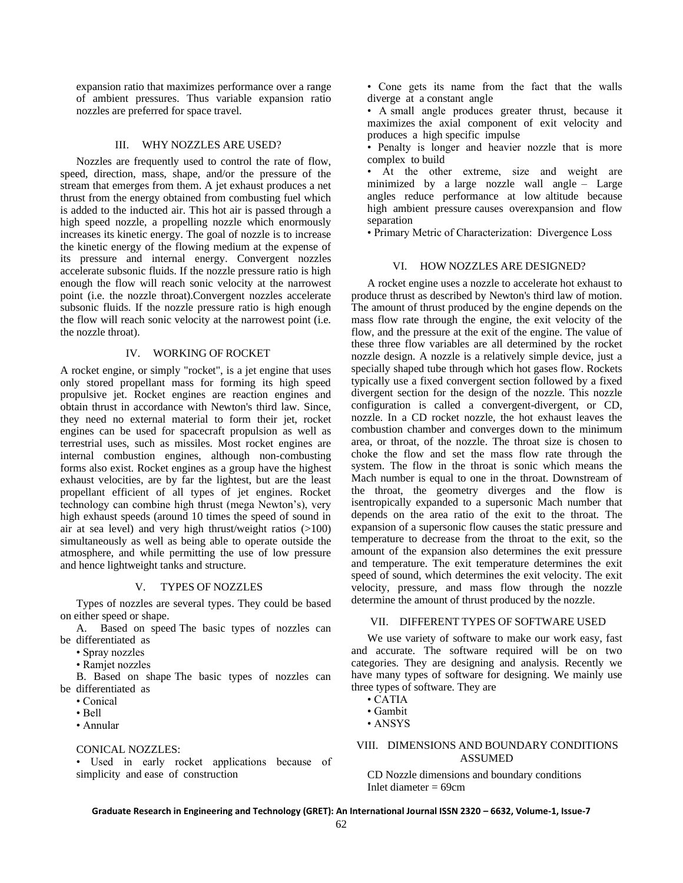expansion ratio that maximizes performance over a range of ambient pressures. Thus variable expansion ratio nozzles are preferred for space travel.

#### III. WHY NOZZLES ARE USED?

Nozzles are frequently used to control the rate of flow, speed, direction, mass, shape, and/or the pressure of the stream that emerges from them. A jet exhaust produces a net thrust from the energy obtained from combusting fuel which is added to the inducted air. This hot air is passed through a high speed nozzle, a propelling nozzle which enormously increases its kinetic energy. The goal of nozzle is to increase the kinetic energy of the flowing medium at the expense of its pressure and internal energy. Convergent nozzles accelerate subsonic fluids. If the nozzle pressure ratio is high enough the flow will reach sonic velocity at the narrowest point (i.e. the nozzle throat).Convergent nozzles accelerate subsonic fluids. If the nozzle pressure ratio is high enough the flow will reach sonic velocity at the narrowest point (i.e. the nozzle throat).

#### IV. WORKING OF ROCKET

A rocket engine, or simply "rocket", is a jet engine that uses only stored propellant mass for forming its high speed propulsive jet. Rocket engines are reaction engines and obtain thrust in accordance with Newton's third law. Since, they need no external material to form their jet, rocket engines can be used for spacecraft propulsion as well as terrestrial uses, such as missiles. Most rocket engines are internal combustion engines, although non-combusting forms also exist. Rocket engines as a group have the highest exhaust velocities, are by far the lightest, but are the least propellant efficient of all types of jet engines. Rocket technology can combine high thrust (mega Newton's), very high exhaust speeds (around 10 times the speed of sound in air at sea level) and very high thrust/weight ratios (>100) simultaneously as well as being able to operate outside the atmosphere, and while permitting the use of low pressure and hence lightweight tanks and structure.

#### V. TYPES OF NOZZLES

Types of nozzles are several types. They could be based on either speed or shape.

A. Based on speed The basic types of nozzles can be differentiated as

• Spray nozzles

• Ramjet nozzles

B. Based on shape The basic types of nozzles can be differentiated as

• Conical

• Bell

• Annular

CONICAL NOZZLES:

• Used in early rocket applications because of simplicity and ease of construction

• Cone gets its name from the fact that the walls diverge at a constant angle

• A small angle produces greater thrust, because it maximizes the axial component of exit velocity and produces a high specific impulse

• Penalty is longer and heavier nozzle that is more complex to build

At the other extreme, size and weight are minimized by a large nozzle wall angle – Large angles reduce performance at low altitude because high ambient pressure causes overexpansion and flow separation

• Primary Metric of Characterization: Divergence Loss

## VI. HOW NOZZLES ARE DESIGNED?

A rocket engine uses a nozzle to accelerate hot exhaust to produce thrust as described by Newton's third law of motion. The amount of thrust produced by the engine depends on the mass flow rate through the engine, the exit velocity of the flow, and the pressure at the exit of the engine. The value of these three flow variables are all determined by the rocket nozzle design. A nozzle is a relatively simple device, just a specially shaped tube through which hot gases flow. Rockets typically use a fixed convergent section followed by a fixed divergent section for the design of the nozzle. This nozzle configuration is called a convergent-divergent, or CD, nozzle. In a CD rocket nozzle, the hot exhaust leaves the combustion chamber and converges down to the minimum area, or throat, of the nozzle. The throat size is chosen to choke the flow and set the mass flow rate through the system. The flow in the throat is sonic which means the Mach number is equal to one in the throat. Downstream of the throat, the geometry diverges and the flow is isentropically expanded to a supersonic Mach number that depends on the area ratio of the exit to the throat. The expansion of a supersonic flow causes the static pressure and temperature to decrease from the throat to the exit, so the amount of the expansion also determines the exit pressure and temperature. The exit temperature determines the exit speed of sound, which determines the exit velocity. The exit velocity, pressure, and mass flow through the nozzle determine the amount of thrust produced by the nozzle.

#### VII. DIFFERENT TYPES OF SOFTWARE USED

We use variety of software to make our work easy, fast and accurate. The software required will be on two categories. They are designing and analysis. Recently we have many types of software for designing. We mainly use three types of software. They are

- CATIA
- Gambit
- ANSYS

# VIII. DIMENSIONS AND BOUNDARY CONDITIONS ASSUMED

CD Nozzle dimensions and boundary conditions Inlet diameter = 69cm

**Graduate Research in Engineering and Technology (GRET): An International Journal ISSN 2320 – 6632, Volume-1, Issue-7**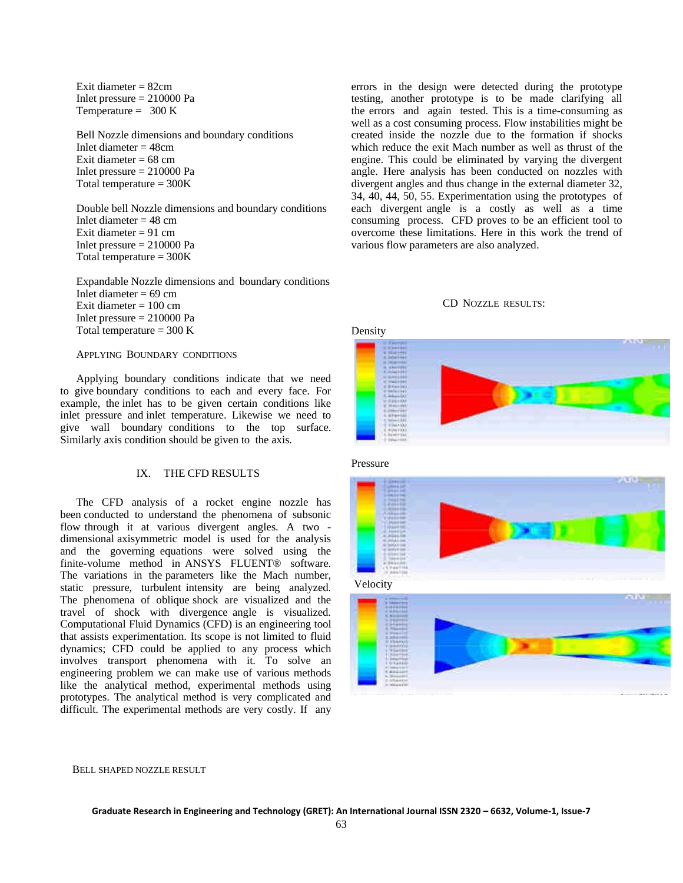Exit diameter = 82cm Inlet pressure = 210000 Pa Temperature =  $300 K$ 

Bell Nozzle dimensions and boundary conditions Inlet diameter = 48cm Exit diameter  $= 68$  cm Inlet pressure = 210000 Pa Total temperature  $= 300K$ 

Double bell Nozzle dimensions and boundary conditions Inlet diameter  $= 48$  cm Exit diameter  $= 91$  cm Inlet pressure = 210000 Pa Total temperature = 300K

Expandable Nozzle dimensions and boundary conditions Inlet diameter  $= 69$  cm Exit diameter  $= 100$  cm Inlet pressure  $= 210000$  Pa Total temperature  $= 300$  K

#### APPLYING BOUNDARY CONDITIONS

Applying boundary conditions indicate that we need to give boundary conditions to each and every face. For example, the inlet has to be given certain conditions like inlet pressure and inlet temperature. Likewise we need to give wall boundary conditions to the top surface. Similarly axis condition should be given to the axis.

#### IX. THE CFD RESULTS

The CFD analysis of a rocket engine nozzle has been conducted to understand the phenomena of subsonic flow through it at various divergent angles. A two dimensional axisymmetric model is used for the analysis and the governing equations were solved using the finite-volume method in ANSYS FLUENT® software. The variations in the parameters like the Mach number, static pressure, turbulent intensity are being analyzed. The phenomena of oblique shock are visualized and the travel of shock with divergence angle is visualized. Computational Fluid Dynamics (CFD) is an engineering tool that assists experimentation. Its scope is not limited to fluid dynamics; CFD could be applied to any process which involves transport phenomena with it. To solve an engineering problem we can make use of various methods like the analytical method, experimental methods using prototypes. The analytical method is very complicated and difficult. The experimental methods are very costly. If any

errors in the design were detected during the prototype testing, another prototype is to be made clarifying all the errors and again tested. This is a time-consuming as well as a cost consuming process. Flow instabilities might be created inside the nozzle due to the formation if shocks which reduce the exit Mach number as well as thrust of the engine. This could be eliminated by varying the divergent angle. Here analysis has been conducted on nozzles with divergent angles and thus change in the external diameter 32, 34, 40, 44, 50, 55. Experimentation using the prototypes of each divergent angle is a costly as well as a time consuming process. CFD proves to be an efficient tool to overcome these limitations. Here in this work the trend of various flow parameters are also analyzed.





Pressure





BELL SHAPED NOZZLE RESULT